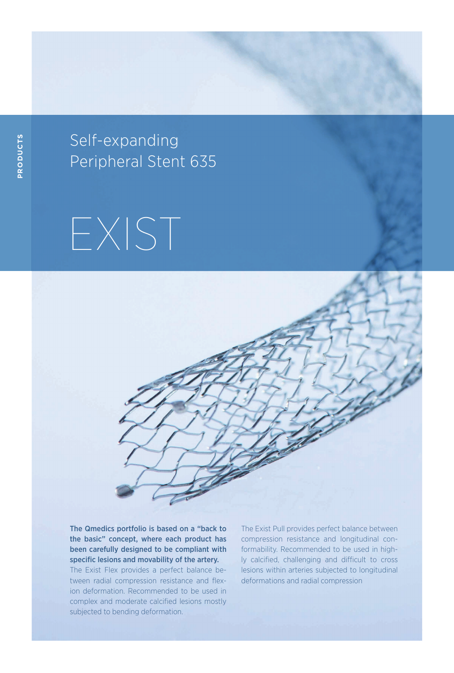Self - expanding Self-expanding Peripheral Stent 635

## EXIST



The Qmedics portfolio is based on a "back to the basic" concept, where each product has been carefully designed to be compliant with specific lesions and movability of the artery. The Exist Flex provides a perfect balance between radial compression resistance and flexion deformation. Recommended to be used in complex and moderate calcified lesions mostly subjected to bending deformation.

The Exist Pull provides perfect balance between compression resistance and longitudinal conformability. Recommended to be used in highly calcified, challenging and difficult to cross lesions within arteries subjected to longitudinal deformations and radial compression